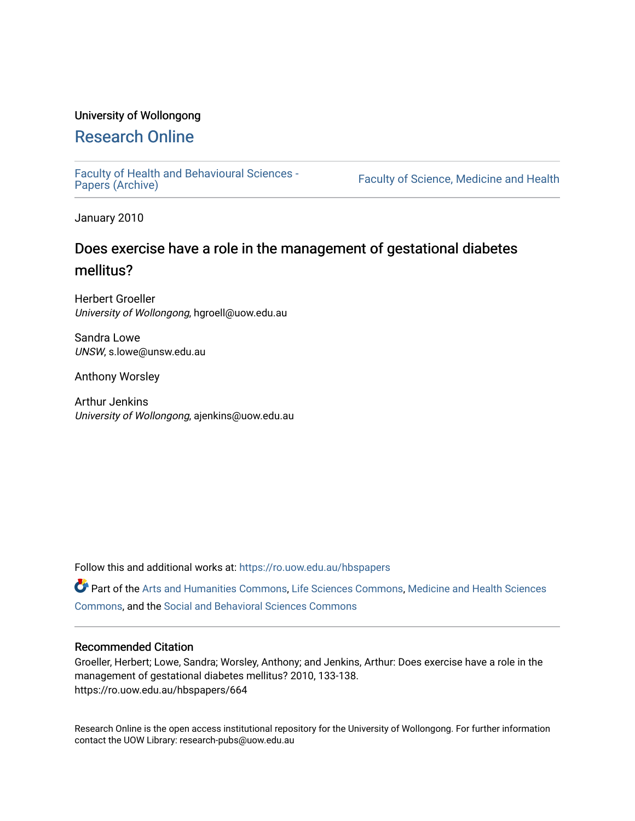# University of Wollongong

# [Research Online](https://ro.uow.edu.au/)

[Faculty of Health and Behavioural Sciences -](https://ro.uow.edu.au/hbspapers)<br>Papers (Archive)

Faculty of Science, Medicine and Health

January 2010

# Does exercise have a role in the management of gestational diabetes mellitus?

Herbert Groeller University of Wollongong, hgroell@uow.edu.au

Sandra Lowe UNSW, s.lowe@unsw.edu.au

Anthony Worsley

Arthur Jenkins University of Wollongong, ajenkins@uow.edu.au

Follow this and additional works at: [https://ro.uow.edu.au/hbspapers](https://ro.uow.edu.au/hbspapers?utm_source=ro.uow.edu.au%2Fhbspapers%2F664&utm_medium=PDF&utm_campaign=PDFCoverPages) 

Part of the [Arts and Humanities Commons,](http://network.bepress.com/hgg/discipline/438?utm_source=ro.uow.edu.au%2Fhbspapers%2F664&utm_medium=PDF&utm_campaign=PDFCoverPages) [Life Sciences Commons,](http://network.bepress.com/hgg/discipline/1016?utm_source=ro.uow.edu.au%2Fhbspapers%2F664&utm_medium=PDF&utm_campaign=PDFCoverPages) [Medicine and Health Sciences](http://network.bepress.com/hgg/discipline/648?utm_source=ro.uow.edu.au%2Fhbspapers%2F664&utm_medium=PDF&utm_campaign=PDFCoverPages) [Commons](http://network.bepress.com/hgg/discipline/648?utm_source=ro.uow.edu.au%2Fhbspapers%2F664&utm_medium=PDF&utm_campaign=PDFCoverPages), and the [Social and Behavioral Sciences Commons](http://network.bepress.com/hgg/discipline/316?utm_source=ro.uow.edu.au%2Fhbspapers%2F664&utm_medium=PDF&utm_campaign=PDFCoverPages)

### Recommended Citation

Groeller, Herbert; Lowe, Sandra; Worsley, Anthony; and Jenkins, Arthur: Does exercise have a role in the management of gestational diabetes mellitus? 2010, 133-138. https://ro.uow.edu.au/hbspapers/664

Research Online is the open access institutional repository for the University of Wollongong. For further information contact the UOW Library: research-pubs@uow.edu.au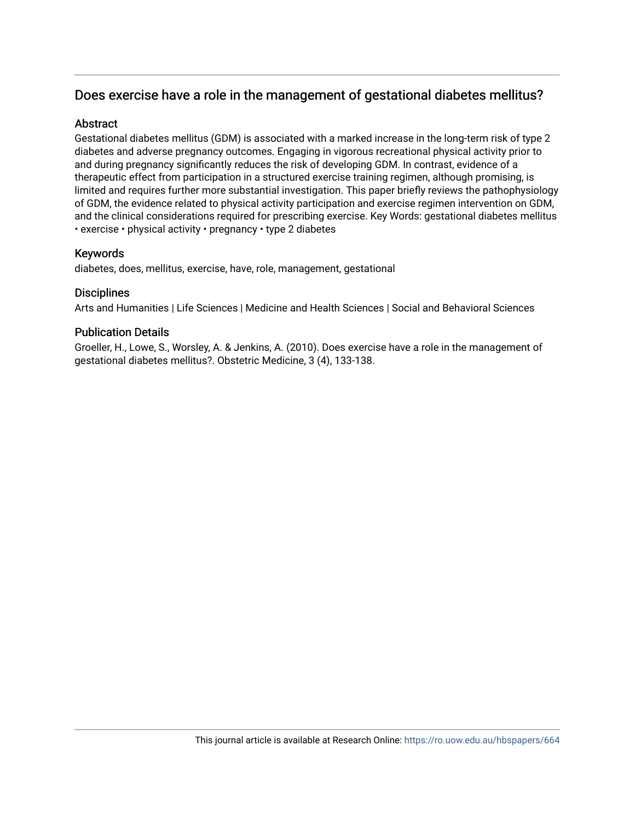# Does exercise have a role in the management of gestational diabetes mellitus?

## **Abstract**

Gestational diabetes mellitus (GDM) is associated with a marked increase in the long-term risk of type 2 diabetes and adverse pregnancy outcomes. Engaging in vigorous recreational physical activity prior to and during pregnancy significantly reduces the risk of developing GDM. In contrast, evidence of a therapeutic effect from participation in a structured exercise training regimen, although promising, is limited and requires further more substantial investigation. This paper briefly reviews the pathophysiology of GDM, the evidence related to physical activity participation and exercise regimen intervention on GDM, and the clinical considerations required for prescribing exercise. Key Words: gestational diabetes mellitus • exercise • physical activity • pregnancy • type 2 diabetes

# Keywords

diabetes, does, mellitus, exercise, have, role, management, gestational

## **Disciplines**

Arts and Humanities | Life Sciences | Medicine and Health Sciences | Social and Behavioral Sciences

## Publication Details

Groeller, H., Lowe, S., Worsley, A. & Jenkins, A. (2010). Does exercise have a role in the management of gestational diabetes mellitus?. Obstetric Medicine, 3 (4), 133-138.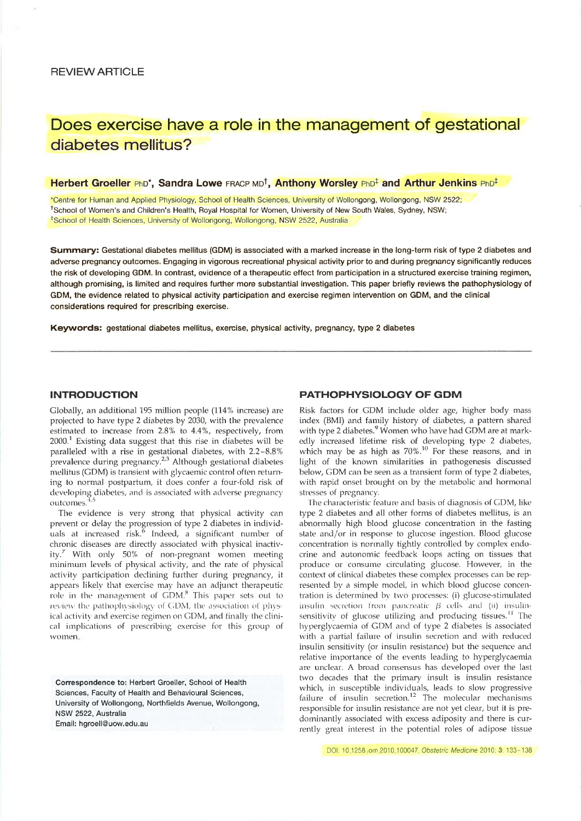# Does exercise have a role in the management of gestational diabetes mellitus?

Herbert Groeller PhD\*, Sandra Lowe FRACP MD<sup>†</sup>, Anthony Worsley PhD<sup>‡</sup> and Arthur Jenkins PhD<sup>‡</sup>

\*Centre for Human and Applied Physiology, School of Health Sciences, University of Wollongong, Wollongong, NSW 2522; <sup>†</sup>School of Women's and Children's Health, Royal Hospital for Women, University of New South Wales, Sydney, NSW; <sup>‡</sup>School of Health Sciences, University of Wollongong, Wollongong, NSW 2522, Australia

Summary: Gestational diabetes mellitus (GDM) is associated with a marked increase in the long-term risk of type 2 diabetes and adverse pregnancy outcomes. Engaging in vigorous recreational physical activity prior to and during pregnancy significantly reduces the risk of developing GDM. In contrast, evidence of a therapeutic effect from participation in a structured exercise training regimen, although promising, is limited and requires further more substantial investigation. This paper briefly reviews the pathophysiology of GDM, the evidence related to physical activity participation and exercise regimen intervention on GDM, and the clinical considerations required for prescribing exercise.

Keywords: gestational diabetes mellitus, exercise, physical activity, pregnancy, type 2 diabetes

#### **INTRODUCTION**

Globally, an additional 195 million people (114% increase) are projected to have type 2 diabetes by 2030, with the prevalence estimated to increase from 2.8% to 4.4%, respectively, from 2000.<sup>1</sup> Existing data suggest that this rise in diabetes will be paralleled with a rise in gestational diabetes, with 2.2-8.8% prevalence during pregnancy.<sup>2,3</sup> Although gestational diabetes mellitus (GDM) is transient with glycaemic control often returning to normal postpartum, it does confer a four-fold risk of developing diabetes, and is associated with adverse pregnancy outcomes.

The evidence is very strong that physical activity can prevent or delay the progression of type 2 diabetes in individuals at increased risk.<sup>8</sup> Indeed, a significant number of chronic diseases are directly associated with physical inactivity.<sup>7</sup> With only 50% of non-pregnant women meeting minimum levels of physical activity, and the rate of physical activity participation declining further during pregnancy, it appears likely that exercise may have an adjunct therapeutic role in the management of GDM.<sup>8</sup> This paper sets out to review the pathophysiology of GDM, the association of physical activity and exercise regimen on GDM, and finally the clinical implications of prescribing exercise for this group of women.

Correspondence to: Herbert Groeller, School of Health Sciences, Faculty of Health and Behavioural Sciences, University of Wollongong, Northfields Avenue, Wollongong, NSW 2522, Australia Email: hgroell@uow.edu.au

### **PATHOPHYSIOLOGY OF GDM**

Risk factors for GDM include older age, higher body mass index (BMI) and family history of diabetes, a pattern shared with type 2 diabetes.<sup>9</sup> Women who have had GDM are at markedly increased lifetime risk of developing type 2 diabetes, which may be as high as  $70\%$ .<sup>10</sup> For these reasons, and in light of the known similarities in pathogenesis discussed below, GDM can be seen as a transient form of type 2 diabetes, with rapid onset brought on by the metabolic and hormonal stresses of pregnancy.

The characteristic feature and basis of diagnosis of GDM, like type 2 diabetes and all other forms of diabetes mellitus, is an abnormally high blood glucose concentration in the fasting state and/or in response to glucose ingestion. Blood glucose concentration is normally tightly controlled by complex endocrine and autonomic feedback loops acting on tissues that produce or consume circulating glucose. However, in the context of clinical diabetes these complex processes can be represented by a simple model, in which blood glucose concentration is determined by two processes: (i) glucose-stimulated insulin secretion from pancreatic  $\beta$  cells and (ii) insulinsensitivity of glucose utilizing and producing tissues.<sup>11</sup> The hyperglycaemia of GDM and of type 2 diabetes is associated with a partial failure of insulin secretion and with reduced insulin sensitivity (or insulin resistance) but the sequence and relative importance of the events leading to hyperglycaemia are unclear. A broad consensus has developed over the last two decades that the primary insult is insulin resistance which, in susceptible individuals, leads to slow progressive failure of insulin secretion.<sup>12</sup> The molecular mechanisms responsible for insulin resistance are not yet clear, but it is predominantly associated with excess adiposity and there is currently great interest in the potential roles of adipose tissue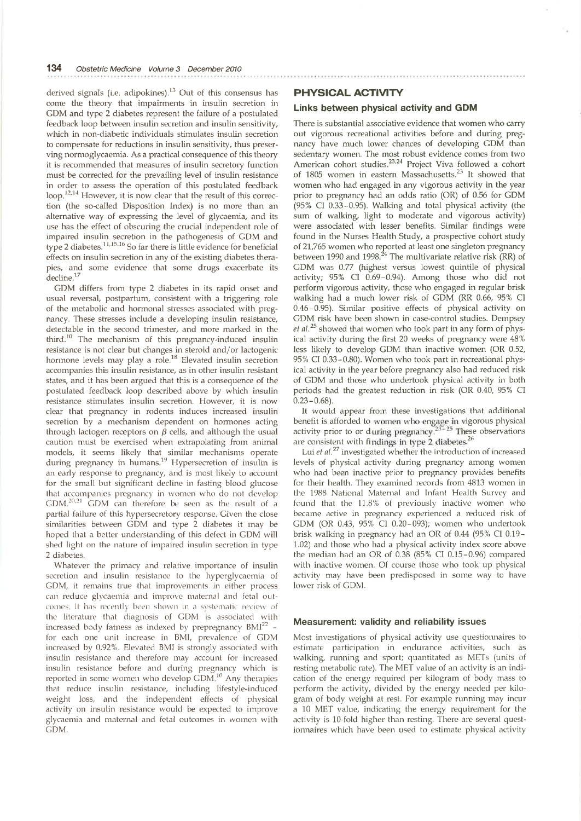derived signals (i.e. adipokines).<sup>13</sup> Out of this consensus has come the theory that impairments in insulin secretion in GDM and type 2 diabetes represent the failure of a postulated feedback loop between insulin secretion and insulin sensitivity, which in non-diabetic individuals stimulates insulin secretion to compensate for reductions in insulin sensitivity, thus preserving normoglycaemia. As a practical consequence of this theory it is recommended that measures of insulin secretory function must be corrected for the prevailing level of insulin resistance in order to assess the operation of this postulated feedback loop.<sup>12,14</sup> However, it is now clear that the result of this correction (the so-called Disposition Index) is no more than an alternative way of expressing the level of glycaemia, and its use has the effect of obscuring the crucial independent role of impaired insulin secretion in the pathogenesis of GDM and<br>type 2 diabetes.<sup>11,15,16</sup> So far there is little evidence for beneficial effects on insulin secretion in any of the existing diabetes therapies, and some evidence that some drugs exacerbate its decline.<sup>17</sup>

GDM differs from type 2 diabetes in its rapid onset and usual reversal, postpartum, consistent with a triggering role of the metabolic and hormonal stresses associated with pregnancy. These stresses include a developing insulin resistance, detectable in the second trimester, and more marked in the third.<sup>10</sup> The mechanism of this pregnancy-induced insulin resistance is not clear but changes in steroid and/or lactogenic hormone levels may play a role.<sup>18</sup> Elevated insulin secretion accompanies this insulin resistance, as in other insulin resistant states, and it has been argued that this is a consequence of the postulated feedback loop described above by which insulin resistance stimulates insulin secretion. However, it is now clear that pregnancy in rodents induces increased insulin secretion by a mechanism dependent on hormones acting through lactogen receptors on  $\beta$  cells, and although the usual caution must be exercised when extrapolating from animal models, it seems likely that similar mechanisms operate during pregnancy in humans.<sup>19</sup> Hypersecretion of insulin is an early response to pregnancy, and is most likely to account for the small but significant decline in fasting blood glucose that accompanies pregnancy in women who do not develop  $GDM<sup>20,21</sup>$  GDM can therefore be seen as the result of a partial failure of this hypersecretory response. Given the close similarities between GDM and type 2 diabetes it may be hoped that a better understanding of this defect in GDM will shed light on the nature of impaired insulin secretion in type 2 diabetes.

Whatever the primacy and relative importance of insulin secretion and insulin resistance to the hyperglycaemia of GDM, it remains true that improvements in either process can reduce glycaemia and improve maternal and fetal outcomes. It has recently been shown in a systematic review of the literature that diagnosis of GDM is associated with increased body fatness as indexed by prepregnancy BMI<sup>22</sup> for each one unit increase in BMI, prevalence of GDM increased by 0.92%. Elevated BMI is strongly associated with insulin resistance and therefore may account for increased insulin resistance before and during pregnancy which is reported in some women who develop GDM.<sup>10</sup> Any therapies that reduce insulin resistance, including lifestyle-induced weight loss, and the independent effects of physical activity on insulin resistance would be expected to improve glycaemia and maternal and fetal outcomes in women with GDM.

#### PHYSICAL ACTIVITY

#### Links between physical activity and GDM

There is substantial associative evidence that women who carry out vigorous recreational activities before and during pregnancy have much lower chances of developing GDM than sedentary women. The most robust evidence comes from two American cohort studies.<sup>23,24</sup> Project Viva followed a cohort of 1805 women in eastern Massachusetts.<sup>23</sup> It showed that women who had engaged in any vigorous activity in the year prior to pregnancy had an odds ratio (OR) of 0.56 for GDM (95% CI 0.33-0.95). Walking and total physical activity (the sum of walking, light to moderate and vigorous activity) were associated with lesser benefits. Similar findings were found in the Nurses Health Study, a prospective cohort study of 21,765 women who reported at least one singleton pregnancy<br>between 1990 and 1998.<sup>24</sup> The multivariate relative risk (RR) of GDM was 0.77 (highest versus lowest quintile of physical activity; 95% CI 0.69-0.94). Among those who did not perform vigorous activity, those who engaged in regular brisk walking had a much lower risk of GDM (RR 0.66, 95% CI 0.46-0.95). Similar positive effects of physical activity on GDM risk have been shown in case-control studies. Dempsey *et al.*<sup>25</sup> showed that women who took part in any form of physical activity during the first 20 weeks of pregnancy were 48% less likely to develop GDM than inactive women (OR 0.52, 95% CI 0.33-0.80). Women who took part in recreational physical activity in the year before pregnancy also had reduced risk of GDM and those who undertook physical activity in both periods had the greatest reduction in risk (OR 0.40, 95% CI  $(0.23 - 0.68)$ 

It would appear from these investigations that additional benefit is afforded to women who engage in vigorous physical activity prior to or during pregnancy.<sup>23-25</sup> These observations are consistent with findings in type 2 diabetes.<sup>26</sup>

Lui et al.<sup>27</sup> investigated whether the introduction of increased levels of physical activity during pregnancy among women who had been inactive prior to pregnancy provides benefits for their health. They examined records from 4813 women in the 1988 National Maternal and Infant Health Survey and found that the 11.8% of previously inactive women who became active in pregnancy experienced a reduced risk of GDM (OR 0.43, 95% Cl 0.20-093); women who undertook brisk walking in pregnancy had an OR of 0.44 (95% CI 0.19-1.02) and those who had a physical activity index score above the median had an OR of  $0.38$  (85% CI  $0.15-0.96$ ) compared with inactive women. Of course those who took up physical activity may have been predisposed in some way to have lower risk of GDM.

#### Measurement: validity and reliability issues

Most investigations of physical activity use questionnaires to estimate participation in endurance activities, such as walking, running and sport; quantitated as METs (units of resting metabolic rate). The MET value of an activity is an indication of the energy required per kilogram of body mass to perform the activity, divided by the energy needed per kilogram of body weight at rest. For example running may incur a 10 MET value, indicating the energy requirement for the activity is 10-fold higher than resting. There are several questionnaires which have been used to estimate physical activity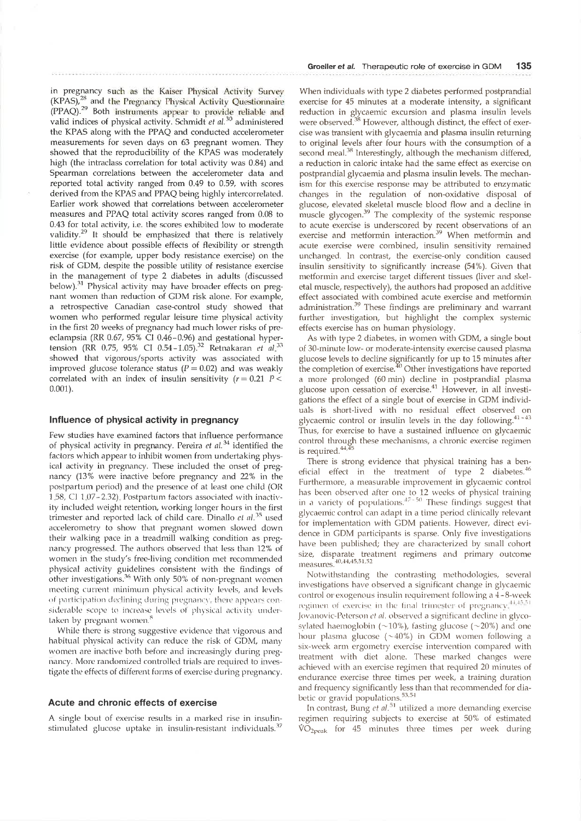in pregnancy such as the Kaiser Physical Activity Survey (KPAS),<sup>28</sup> and the Pregnancy Physical Activity Questionnaire (PPAQ).<sup>29</sup> Both instruments appear to provide reliable and valid indices of physical activity. Schmidt et al.<sup>30</sup> administered the KPAS along with the PPAQ and conducted accelerometer measurements for seven days on 63 pregnant women. They showed that the reproducibility of the KPAS was moderately high (the intraclass correlation for total activity was 0.84) and Spearman correlations between the accelerometer data and reported total activity ranged from 0.49 to 0.59, with scores derived from the KPAS and PPAQ being highly intercorrelated. Earlier work showed that correlations between accelerometer measures and PPAQ total activity scores ranged from 0.08 to 0.43 for total activity, i.e. the scores exhibited low to moderate validity.<sup>29</sup> It should be emphasized that there is relatively little evidence about possible effects of flexibility or strength exercise (for example, upper body resistance exercise) on the risk of GDM, despite the possible utility of resistance exercise in the management of type 2 diabetes in adults (discussed below).<sup>31</sup> Physical activity may have broader effects on pregnant women than reduction of GDM risk alone. For example, a retrospective Canadian case-control study showed that women who performed regular leisure time physical activity in the first 20 weeks of pregnancy had much lower risks of preeclampsia (RR 0.67, 95% Cl 0.46-0.96) and gestational hypertension (RR 0.75, 95% CI 0.54-1.05).<sup>32</sup> Retnakaran et al.<sup>33</sup> showed that vigorous/sports activity was associated with improved glucose tolerance status ( $P = 0.02$ ) and was weakly correlated with an index of insulin sensitivity ( $r = 0.21$  P <  $0.001$ ).

#### Influence of physical activity in pregnancy

Few studies have examined factors that influence performance of physical activity in pregnancy. Pereira et al.<sup>34</sup> identified the factors which appear to inhibit women from undertaking physical activity in pregnancy. These included the onset of pregnancy (13% were inactive before pregnancy and 22% in the postpartum period) and the presence of at least one child (OR 1.58, Cl 1.07-2.32). Postpartum factors associated with inactivity included weight retention, working longer hours in the first trimester and reported lack of child care. Dinallo et al.<sup>35</sup> used accelerometry to show that pregnant women slowed down their walking pace in a treadmill walking condition as pregnancy progressed. The authors observed that less than 12% of women in the study's free-living condition met recommended physical activity guidelines consistent with the findings of other investigations.<sup>36</sup> With only 50% of non-pregnant women meeting current minimum physical activity levels, and levels of participation declining during pregnancy, there appears considerable scope to increase levels of physical activity undertaken by pregnant women.<sup>8</sup>

While there is strong suggestive evidence that vigorous and habitual physical activity can reduce the risk of GDM, many women are inactive both before and increasingly during pregnancy. More randomized controlled trials are required to investigate the effects of different forms of exercise during pregnancy.

#### Acute and chronic effects of exercise

A single bout of exercise results in a marked rise in insulinstimulated glucose uptake in insulin-resistant individuals.<sup>37</sup>

When individuals with type 2 diabetes performed postprandial exercise for 45 minutes at a moderate intensity, a significant reduction in glycaemic excursion and plasma insulin levels were observed.<sup>38</sup> However, although distinct, the effect of exercise was transient with glycaemia and plasma insulin returning to original levels after four hours with the consumption of a second meal.<sup>38</sup> Interestingly, although the mechanism differed, a reduction in caloric intake had the same effect as exercise on postprandial glycaemia and plasma insulin levels. The mechanism for this exercise response may be attributed to enzymatic changes in the regulation of non-oxidative disposal of glucose, elevated skeletal muscle blood flow and a decline in muscle glycogen.<sup>39</sup> The complexity of the systemic response to acute exercise is underscored by recent observations of an exercise and metformin interaction.<sup>39</sup> When metformin and acute exercise were combined, insulin sensitivity remained unchanged. In contrast, the exercise-only condition caused insulin sensitivity to significantly increase (54%). Given that metformin and exercise target different tissues (liver and skeletal muscle, respectively), the authors had proposed an additive effect associated with combined acute exercise and metformin administration.<sup>39</sup> These findings are preliminary and warrant further investigation, but highlight the complex systemic effects exercise has on human physiology.

As with type 2 diabetes, in women with GDM, a single bout of 30-minute low- or moderate-intensity exercise caused plasma glucose levels to decline significantly for up to 15 minutes after<br>the completion of exercise.<sup>40</sup> Other investigations have reported a more prolonged (60 min) decline in postprandial plasma glucose upon cessation of exercise.<sup>41</sup> However, in all investigations the effect of a single bout of exercise in GDM individuals is short-lived with no residual effect observed on glycaemic control or insulin levels in the day following.<sup>41-43</sup> Thus, for exercise to have a sustained influence on glycaemic control through these mechanisms, a chronic exercise regimen is required.<sup>44,4</sup>

There is strong evidence that physical training has a beneficial effect in the treatment of type 2 diabetes.<sup>46</sup> Furthermore, a measurable improvement in glycaemic control has been observed after one to 12 weeks of physical training<br>in a variety of populations.<sup>47-50</sup> These findings suggest that glycaemic control can adapt in a time period clinically relevant for implementation with GDM patients. However, direct evidence in GDM participants is sparse. Only five investigations have been published; they are characterized by small cohort size, disparate treatment regimens and primary outcome measures.  $40,44,45,51,52$ 

Notwithstanding the contrasting methodologies, several investigations have observed a significant change in glycaemic control or exogenous insulin requirement following a 4-8-week regimen of exercise in the final trimester of pregnancy.<sup>44,45,51</sup> Jovanovic-Peterson et al. observed a significant decline in glycosylated haemoglobin ( $\sim$ 10%), fasting glucose ( $\sim$ 20%) and one hour plasma glucose  $(\sim 40\%)$  in GDM women following a six-week arm ergometry exercise intervention compared with treatment with diet alone. These marked changes were achieved with an exercise regimen that required 20 minutes of endurance exercise three times per week, a training duration and frequency significantly less than that recommended for diabetic or gravid populations.<sup>53,54</sup>

In contrast, Bung et  $al$ .<sup>51</sup> utilized a more demanding exercise regimen requiring subjects to exercise at 50% of estimated  $\rm \dot{VO}_{2peak}$  for 45 minutes three times per week during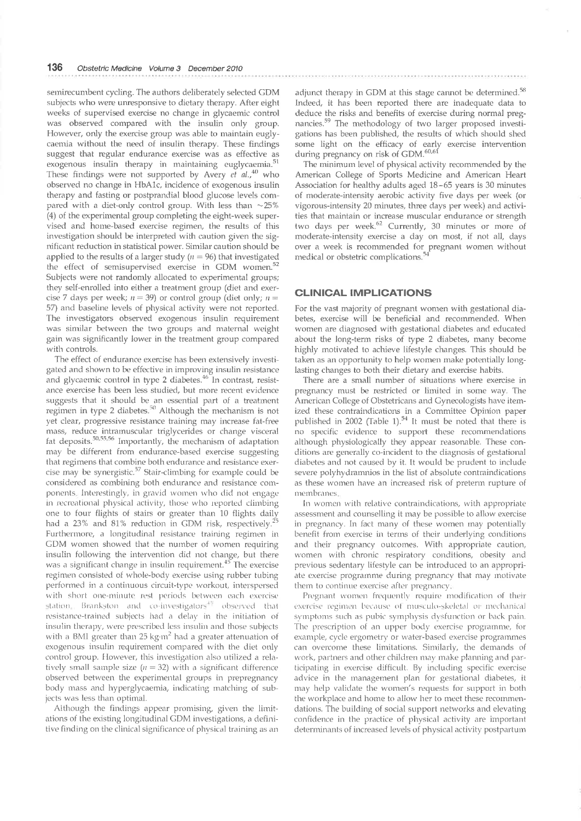semirecumbent cycling. The authors deliberately selected GDM subjects who were unresponsive to dietary therapy. After eight weeks of supervised exercise no change in glycaemic control was observed compared with the insulin only group. However, only the exercise group was able to maintain euglycaemia without the need of insulin therapy. These findings suggest that regular endurance exercise was as effective as exogenous insulin therapy in maintaining euglycaemia.<sup>51</sup> These findings were not supported by Avery et al.,<sup>40</sup> who observed no change in HbA1c, incidence of exogenous insulin therapy and fasting or postprandial blood glucose levels compared with a diet-only control group. With less than  $\sim$ 25% (4) of the experimental group completing the eight-week supervised and home-based exercise regimen, the results of this investigation should be interpreted with caution given the significant reduction in statistical power. Similar caution should be applied to the results of a larger study ( $n = 96$ ) that investigated the effect of semisupervised exercise in GDM women.<sup>52</sup> Subjects were not randomly allocated to experimental groups; they self-enrolled into either a treatment group (diet and exercise 7 days per week;  $n = 39$ ) or control group (diet only;  $n =$ 57) and baseline levels of physical activity were not reported. The investigators observed exogenous insulin requirement was similar between the two groups and maternal weight gain was significantly lower in the treatment group compared with controls

The effect of endurance exercise has been extensively investigated and shown to be effective in improving insulin resistance and glycaemic control in type 2 diabetes.<sup>46</sup> In contrast, resistance exercise has been less studied, but more recent evidence suggests that it should be an essential part of a treatment regimen in type 2 diabetes.<sup>50</sup> Although the mechanism is not yet clear, progressive resistance training may increase fat-free mass, reduce intramuscular triglycerides or change visceral fat deposits.<sup>50,55,56</sup> Importantly, the mechanism of adaptation may be different from endurance-based exercise suggesting that regimens that combine both endurance and resistance exercise may be synergistic.<sup>57</sup> Stair-climbing for example could be considered as combining both endurance and resistance components. Interestingly, in gravid women who did not engage in recreational physical activity, those who reported climbing one to four flights of stairs or greater than 10 flights daily had a 23% and 81% reduction in GDM risk, respectively.<sup>2</sup> Furthermore, a longitudinal resistance training regimen in GDM women showed that the number of women requiring insulin following the intervention did not change, but there was a significant change in insulin requirement.<sup>45</sup> The exercise regimen consisted of whole-body exercise using rubber tubing performed in a continuous circuit-type workout, interspersed with short one-minute rest periods between each exercise station. Brankston and co-investigators<sup>45</sup> observed that resistance-trained subjects had a delay in the initiation of insulin therapy, were prescribed less insulin and those subjects with a BMI greater than  $25 \text{ kg} \cdot \text{m}^2$  had a greater attenuation of exogenous insulin requirement compared with the diet only control group. However, this investigation also utilized a relatively small sample size ( $n = 32$ ) with a significant difference observed between the experimental groups in prepregnancy body mass and hyperglycaemia, indicating matching of subjects was less than optimal.

Although the findings appear promising, given the limitations of the existing longitudinal GDM investigations, a definitive finding on the clinical significance of physical training as an adjunct therapy in GDM at this stage cannot be determined.<sup>58</sup> Indeed, it has been reported there are inadequate data to deduce the risks and benefits of exercise during normal pregnancies.<sup>59</sup> The methodology of two larger proposed investigations has been published, the results of which should shed some light on the efficacy of early exercise intervention during pregnancy on risk of GDM.<sup>60,61</sup>

The minimum level of physical activity recommended by the American College of Sports Medicine and American Heart Association for healthy adults aged 18-65 years is 30 minutes of moderate-intensity aerobic activity five days per week (or vigorous-intensity 20 minutes, three days per week) and activities that maintain or increase muscular endurance or strength two days per week.<sup>62</sup> Currently, 30 minutes or more of moderate-intensity exercise a day on most, if not all, days over a week is recommended for pregnant women without medical or obstetric complications.  $^{54}$ 

#### **CLINICAL IMPLICATIONS**

For the vast majority of pregnant women with gestational diabetes, exercise will be beneficial and recommended. When women are diagnosed with gestational diabetes and educated about the long-term risks of type 2 diabetes, many become highly motivated to achieve lifestyle changes. This should be taken as an opportunity to help women make potentially longlasting changes to both their dietary and exercise habits.

There are a small number of situations where exercise in pregnancy must be restricted or limited in some way. The American College of Obstetricans and Gynecologists have itemized these contraindications in a Committee Opinion paper published in 2002 (Table 1).<sup>54</sup> It must be noted that there is no specific evidence to support these recommendations although physiologically they appear reasonable. These conditions are generally co-incident to the diagnosis of gestational diabetes and not caused by it. It would be prudent to include severe polyhydramnios in the list of absolute contraindications as these women have an increased risk of preterm rupture of membranes.

In women with relative contraindications, with appropriate assessment and counselling it may be possible to allow exercise in pregnancy. In fact many of these women may potentially benefit from exercise in terms of their underlying conditions and their pregnancy outcomes. With appropriate caution, women with chronic respiratory conditions, obesity and previous sedentary lifestyle can be introduced to an appropriate exercise programme during pregnancy that may motivate them to continue exercise after pregnancy.

Pregnant women frequently require modification of their exercise regimen because of musculo-skeletal or mechanical symptoms such as pubic symphysis dysfunction or back pain. The prescription of an upper body exercise programme, for example, cycle ergometry or water-based exercise programmes can overcome these limitations. Similarly, the demands of work, partners and other children may make planning and participating in exercise difficult. By including specific exercise advice in the management plan for gestational diabetes, it may help validate the women's requests for support in both the workplace and home to allow her to meet these recommendations. The building of social support networks and elevating confidence in the practice of physical activity are important determinants of increased levels of physical activity postpartum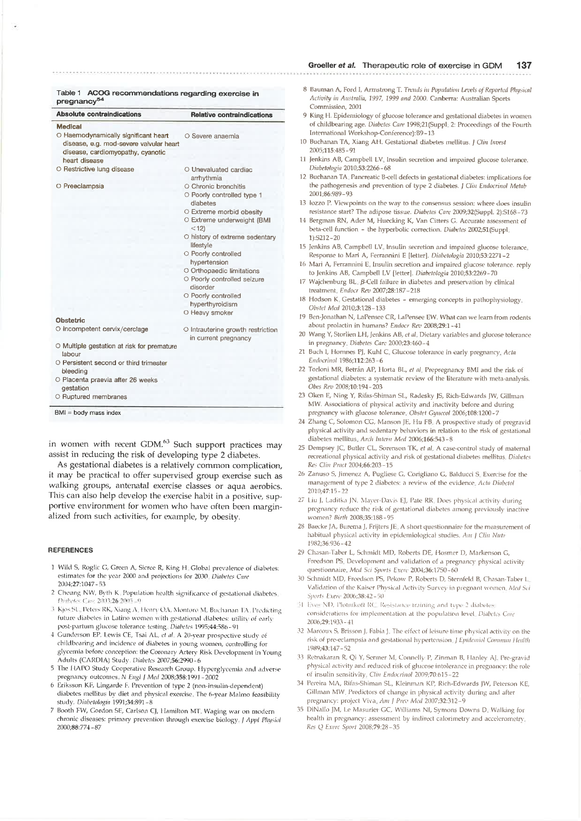|  | Groeller et al. Therapeutic role of exercise in GDM | 137 |
|--|-----------------------------------------------------|-----|
|--|-----------------------------------------------------|-----|

| Table 1                 | ACOG recommendations regarding exercise in |  |
|-------------------------|--------------------------------------------|--|
| pregnancy <sup>54</sup> |                                            |  |

| <b>Absolute contraindications</b>                                                                                                      | <b>Relative contraindications</b>                                    |
|----------------------------------------------------------------------------------------------------------------------------------------|----------------------------------------------------------------------|
| <b>Medical</b><br>O Haemodynamically significant heart<br>disease, e.g. mod-severe valvular heart<br>disease, cardiomyopathy, cyanotic | O Severe anaemia                                                     |
| heart disease                                                                                                                          |                                                                      |
| O Restrictive lung disease                                                                                                             | O Unevaluated cardiac                                                |
| O Preeclampsia                                                                                                                         | arrhythmia<br>O Chronic bronchitis                                   |
|                                                                                                                                        | O Poorly controlled type 1<br>diabetes                               |
|                                                                                                                                        | O Extreme morbid obesity<br>O Extreme underweight (BMI<br>< 121      |
|                                                                                                                                        | O history of extreme sedentary<br>lifestyle                          |
|                                                                                                                                        | O Poorly controlled                                                  |
|                                                                                                                                        | hypertension                                                         |
|                                                                                                                                        | O Orthopaedic limitations<br>O Poorly controlled seizure<br>disorder |
|                                                                                                                                        | O Poorly controlled                                                  |
|                                                                                                                                        | hyperthyroidism                                                      |
|                                                                                                                                        | O Heavy smoker                                                       |
| Obstetric                                                                                                                              |                                                                      |
| O Incompetent cervix/cerclage                                                                                                          | O Intrauterine growth restriction<br>in current pregnancy            |
| O Multiple gestation at risk for premature<br>labour                                                                                   |                                                                      |
| O Persistent second or third trimester<br>bleeding                                                                                     |                                                                      |
| O Placenta praevia after 26 weeks<br>gestation                                                                                         |                                                                      |
| O Ruptured membranes                                                                                                                   |                                                                      |
| $BMI = body$ mass index                                                                                                                |                                                                      |

in women with recent GDM.<sup>63</sup> Such support practices may assist in reducing the risk of developing type 2 diabetes.

As gestational diabetes is a relatively common complication, it may be practical to offer supervised group exercise such as walking groups, antenatal exercise classes or aqua aerobics. This can also help develop the exercise habit in a positive, supportive environment for women who have often been marginalized from such activities, for example, by obesity.

#### **REFERENCES**

- 1 Wild S, Roglic G, Green A, Sicree R, King H. Global prevalence of diabetes: estimates for the year 2000 and projections for 2030. Diabetes Care 2004:27:1047-53
- 2 Cheung NW, Byth K. Population health significance of gestational diabetes. Digbet - Cap: 2003;26:2005-0
- 3 Kjos SL, Peters RK, Xiang A, Henry OA, Montoro M, Buchanan TA, Predicting future diabetes in Latino women with gestational diabetes: utility of early post-partum glucose tolerance testing. Diabetes 1995;44:586-91
- 4 Gunderson EP, Lewis CE, Tsai AL, et al. A 20-year prospective study of childbearing and incidence of diabetes in young women, controlling for glycemia before conception: the Coronary Artery Risk Development in Young Adults (CARDIA) Study Diabetes 2007;56:2990-6
- 5 The FIAPO Study Cooperative Research Group. Hyperglycemia and adverse pregnancy outcomes. N Engl J Med 2008;358:1991-2002
- 6 Eriksson KF, Lingarde F. Prevention of type 2 (non-insulin-dependent) diabetes mellitus by diet and physical exercise. The 6-year Malmo feasibility study. Diabetologia 1991;34:891-8
- Booth FW, Gordon SE, Carlson CJ, Hamilton MT. Waging war on modern chronic diseases: primary prevention through exercise biology J Appl Physiol 2000;88:774-87
- 8 Bauman A, Ford I, Armstrong T. Trends in Population Levels of Reported Physical Activity in Australia, 1997, 1999 and 2000. Canberra: Australian Sports Commission, 2001
- 9 King H. Epidemiology of glucose tolerance and gestational diabetes in women of childbearing age. Diabetes Care 1998;21(Suppli 2: Proceedings of the Fourth International Workshop-Conference): B9-13
- 10 Buchanan TA, Xiang AH. Gestational diabetes mellitus. J Clin Invest  $2005;115:485 - 91$
- 11 Jenkins AB, Campbell LV. Insulin secretion and impaired glucose tolerance. Diabetologia 2010;53:2266-68
- 12 Buchanan TA. Pancreatic B-cell defects in gestational diabetes: implications for the pathogenesis and prevention of type 2 diabetes. J Clin Endocrinol Metab 2001;86:989-93
- 13 lozzo P. Viewpoints on the way to the consensus session: where does insulin resistance start? The adipose tissue. Diabetes Care 2009;32(Suppl. 2):S168-73
- 14 Bergman RN, Ader M, Huecking K, Van Citters G. Accurate assessment of beta-cell function - the hyperbolic correction. Diabetes 2002;51(Suppl.  $1):5212 - 20$
- 15 Jenkins AB, Campbell LV, Insulin secretion and impaired glucose tolerance, Response to Mari A, Ferrannini E [letter]. Diabetologia 2010;53:2271-2
- 16 Mari A, Ferrannini E, Insulin secretion and impaired glucose tolerance. reply to Jenkins AB, Campbell LV [letter]. Diabetologia 2010;53:2269-70
- 17 Wajchenburg BL. B-Cell failure in diabetes and preservation by clinical treatment; Endocr Rev 2007;28:187-218
- 18 Hodson K, Gestational diabetes emerging concepts in pathophysiology, Obstet Med 2010:3:128-133
- 19 Ben-Jonathan N, LaPensee CR, LaPensee EW. What can we learn from rodents about prolactin in humans? Endocr Rev 2008;29:1-41
- 20 Wang Y, Storlien LH, Jenkins AB, et al. Dietary variables and glucose tolerance in pregnancy. Diabetes Carc 2000;23:460-4
- 21 Buch I, Hornnes PJ, Kuhl C, Glucose tolerance in early pregnancy, Acta Endocrinol 1986;112:263-6
- 22 Torloni MR, Betrán AP, Horta BL, et al. Prepregnancy BMI and the risk of gestational diabetes: a systematic review of the literature with meta-analysis. Obes Rev 2008;10:194-203
- 23 Oken E, Ning Y, Rifas-Shiman SL, Radesky JS, Rich-Edwards JW, Gillman MW. Associations of physical activity and inactivity before and during pregnancy with glucose tolerance. Obstet Gynecol 2006;108:1200-7
- 24 Zhang C, Solomon CG, Manson JE, Hu FB. A prospective study of pregravid physical activity and sedentary behaviors in relation to the risk of gestational diabetes mellitus. Arch Intern Med 2006;166:543-8
- 25 Dempsey JC, Butler CL, Sorenson TK, et al. A case-control study of maternal recreational physical activity and risk of gestational diabetes mellitus. Diabetes Res Clin Pract 2004;66:203-15
- 26 Zanuso S, Jimenez A, Pugliese G, Corigliano G, Balducci S. Exercise for the management of type 2 diabetes: a review of the evidence. Acta Diabetol  $2010:47:15 - 22$
- 27 Liu J, Laditka JN, Mayer-Davis EJ, Pate RR. Does physical activity during pregnancy reduce the risk of gestational diabetes among previously inactive women? Birth 2008;35:188-95
- 28 Baecke JA, Burema J, Frijters JE, A short questionnaire for the measurement of habitual physical activity in epidemiological studies. Am J Clin Nutr 1982;36:936-42
- 29 Chasan-Taber L, Schmidt MD, Roberts DE, Hosmer D, Markenson G, Freedson PS. Development and validation of a pregnancy physical activity questionnaire, Med Sci Sports Exerc 2004;36:1750~60
- 30 Schmidt MD, Freedson PS, Pekow P, Roberts D, Sternfeld B, Chasan-Taber L. Validation of the Kaiser Physical Activity Survey in pregnant women. Med Sci Sports Exerc 2006;38:42-50
- 31 Eves ND, Plotnikoft RC Resistance training and type 2 diabetes. considerations for implementation at the population level. Diabetes Care 2006:29:1933-41
- 32 Marcoux S, Brisson J, Fabia J. The effect of leisure time physical activity on the risk of pre-eclampsia and gestational hypertension. J Epidemiol Commun Health 1989;43:147-52
- 33 Retnakaran R, Qi Y, Sermer M, Connelly P, Zinman B, Hanley AJ. Pre-gravid physical activity and reduced risk of glucose intolerance in pregnancy: the role of insulin sensitivity. Clin Endocrinol 2009;70:615-22
- 34 Pereira MA, Rifas-Shiman SL, Kleinman KP, Rich-Edwards JW, Peterson KE, Gillman MW, Predictors of change in physical activity during and after pregnancy: project Viva, Am J Prev Med 2007;32:312-9
- 35 DiNallo JM, Le Masurier GC, Williams NI, Symons Downs D. Walking for health in pregnancy: assessment by indirect calorimetry and accelerometry Res Q Exerc Sport 2008;79:28-35